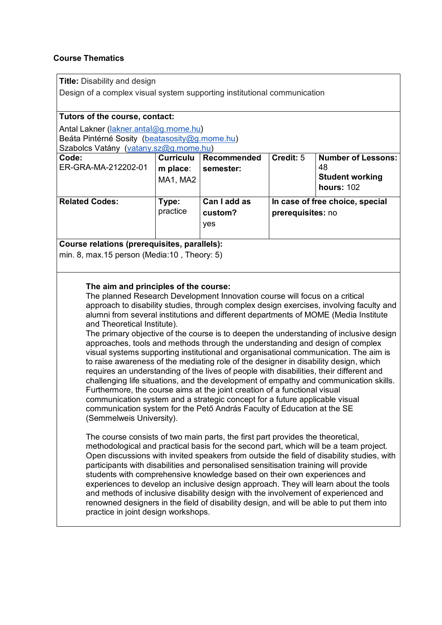# **Course Thematics**

**Title:** Disability and design

Design of a complex visual system supporting institutional communication

## **Tutors of the course, contact:**

Antal Lakner ([lakner.antal@g.mome.hu\)](mailto:akner.antal@g.mome.hu) Beáta Pintérné Sosity ([beatasosity@g.mome.hu\)](mailto:beatasosity@g.mome.hu) Szabolcs Vatány (vatany sz@g.mome.hu)

| <u>UZUDUCS VULGIIV (VULGIIV.SZ(WY.IIIUIIIC.IIU)</u> |                                          |                                |                                                      |                                                                                |
|-----------------------------------------------------|------------------------------------------|--------------------------------|------------------------------------------------------|--------------------------------------------------------------------------------|
| Code:<br>ER-GRA-MA-212202-01                        | <b>Curriculu</b><br>m place:<br>MA1, MA2 | Recommended<br>semester:       | Credit: 5                                            | <b>Number of Lessons:</b><br>48<br><b>Student working</b><br><b>hours: 102</b> |
| <b>Related Codes:</b>                               | Type:<br>practice                        | Can I add as<br>custom?<br>yes | In case of free choice, special<br>prerequisites: no |                                                                                |

**Course relations (prerequisites, parallels):** 

min. 8, max.15 person (Media:10 , Theory: 5)

## **The aim and principles of the course:**

The planned Research Development Innovation course will focus on a critical approach to disability studies, through complex design exercises, involving faculty and alumni from several institutions and different departments of MOME (Media Institute and Theoretical Institute).

The primary objective of the course is to deepen the understanding of inclusive design approaches, tools and methods through the understanding and design of complex visual systems supporting institutional and organisational communication. The aim is to raise awareness of the mediating role of the designer in disability design, which requires an understanding of the lives of people with disabilities, their different and challenging life situations, and the development of empathy and communication skills. Furthermore, the course aims at the joint creation of a functional visual communication system and a strategic concept for a future applicable visual communication system for the Pető András Faculty of Education at the SE (Semmelweis University).

The course consists of two main parts, the first part provides the theoretical, methodological and practical basis for the second part, which will be a team project. Open discussions with invited speakers from outside the field of disability studies, with participants with disabilities and personalised sensitisation training will provide students with comprehensive knowledge based on their own experiences and experiences to develop an inclusive design approach. They will learn about the tools and methods of inclusive disability design with the involvement of experienced and renowned designers in the field of disability design, and will be able to put them into practice in joint design workshops.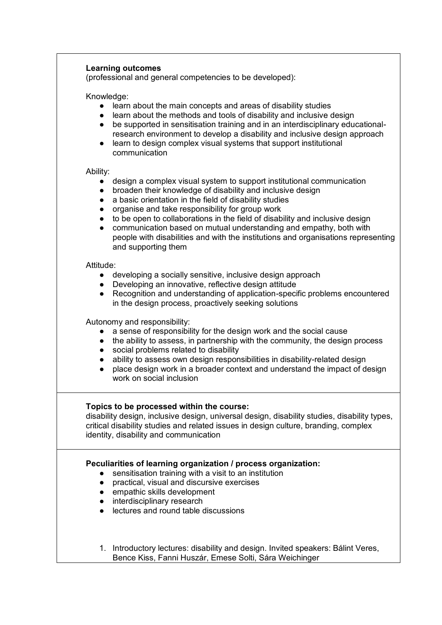## **Learning outcomes**

(professional and general competencies to be developed):

#### Knowledge:

- learn about the main concepts and areas of disability studies
- learn about the methods and tools of disability and inclusive design
- be supported in sensitisation training and in an interdisciplinary educationalresearch environment to develop a disability and inclusive design approach
- learn to design complex visual systems that support institutional communication

### Ability:

- design a complex visual system to support institutional communication
- broaden their knowledge of disability and inclusive design
- a basic orientation in the field of disability studies
- organise and take responsibility for group work
- to be open to collaborations in the field of disability and inclusive design
- communication based on mutual understanding and empathy, both with people with disabilities and with the institutions and organisations representing and supporting them

### Attitude:

- developing a socially sensitive, inclusive design approach
- Developing an innovative, reflective design attitude
- Recognition and understanding of application-specific problems encountered in the design process, proactively seeking solutions

Autonomy and responsibility:

- a sense of responsibility for the design work and the social cause
- the ability to assess, in partnership with the community, the design process
- social problems related to disability
- ability to assess own design responsibilities in disability-related design
- place design work in a broader context and understand the impact of design work on social inclusion

## **Topics to be processed within the course:**

disability design, inclusive design, universal design, disability studies, disability types, critical disability studies and related issues in design culture, branding, complex identity, disability and communication

## **Peculiarities of learning organization / process organization:**

- sensitisation training with a visit to an institution
- practical, visual and discursive exercises
- empathic skills development
- interdisciplinary research
- lectures and round table discussions
- 1. Introductory lectures: disability and design. Invited speakers: Bálint Veres, Bence Kiss, Fanni Huszár, Emese Solti, Sára Weichinger